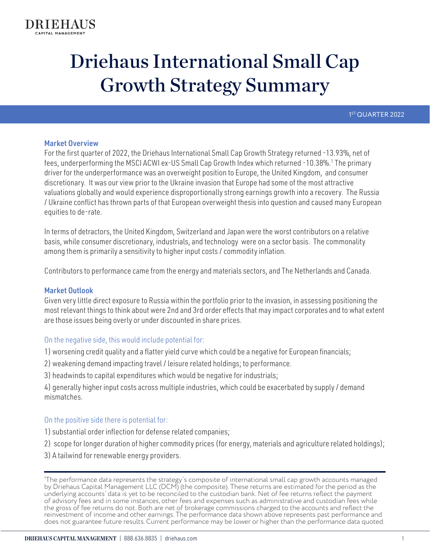1<sup>ST</sup> QUARTER 2022

# Market Overview

For the first quarter of 2022, the Driehaus International Small Cap Growth Strategy returned -13.93%, net of fees, underperforming the MSCI ACWI ex-US Small Cap Growth Index which returned -10.38%.<sup>1</sup> The primary driver for the underperformance was an overweight position to Europe, the United Kingdom, and consumer discretionary. It was our view prior to the Ukraine invasion that Europe had some of the most attractive valuations globally and would experience disproportionally strong earnings growth into a recovery. The Russia / Ukraine conflict has thrown parts of that European overweight thesis into question and caused many European equities to de-rate.

In terms of detractors, the United Kingdom, Switzerland and Japan were the worst contributors on a relative basis, while consumer discretionary, industrials, and technology were on a sector basis. The commonality among them is primarily a sensitivity to higher input costs / commodity inflation.

Contributors to performance came from the energy and materials sectors, and The Netherlands and Canada.

# Market Outlook

Given very little direct exposure to Russia within the portfolio prior to the invasion, in assessing positioning the most relevant things to think about were 2nd and 3rd order effects that may impact corporates and to what extent are those issues being overly or under discounted in share prices.

# On the negative side, this would include potential for:

1) worsening credit quality and a flatter yield curve which could be a negative for European financials;

2) weakening demand impacting travel / leisure related holdings; to performance.

3) headwinds to capital expenditures which would be negative for industrials;

4) generally higher input costs across multiple industries, which could be exacerbated by supply / demand mismatches.

# On the positive side there is potential for:

- 1) substantial order inflection for defense related companies;
- 2) scope for longer duration of higher commodity prices (for energy, materials and agriculture related holdings);
- 3) A tailwind for renewable energy providers.

1 The performance data represents the strategy's composite of international small cap growth accounts managed by Driehaus Capital Management LLC (DCM) (the composite). These returns are estimated for the period as the underlying accounts' data is yet to be reconciled to the custodian bank. Net of fee returns reflect the payment of advisory fees and in some instances, other fees and expenses such as administrative and custodian fees while the gross of fee returns do not. Both are net of brokerage commissions charged to the accounts and reflect the reinvestment of income and other earnings. The performance data shown above represents past performance and does not guarantee future results. Current performance may be lower or higher than the performance data quoted.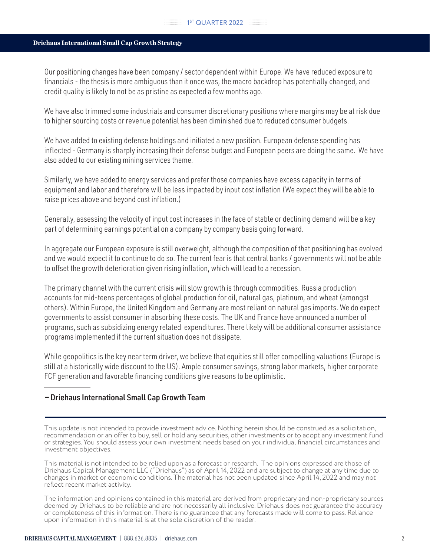#### $\mathbb{Z}$  1st QUARTER 2022

#### Driehaus International Small Cap Growth Strategy

Our positioning changes have been company / sector dependent within Europe. We have reduced exposure to financials - the thesis is more ambiguous than it once was, the macro backdrop has potentially changed, and credit quality is likely to not be as pristine as expected a few months ago.

We have also trimmed some industrials and consumer discretionary positions where margins may be at risk due to higher sourcing costs or revenue potential has been diminished due to reduced consumer budgets.

We have added to existing defense holdings and initiated a new position. European defense spending has inflected - Germany is sharply increasing their defense budget and European peers are doing the same. We have also added to our existing mining services theme.

Similarly, we have added to energy services and prefer those companies have excess capacity in terms of equipment and labor and therefore will be less impacted by input cost inflation (We expect they will be able to raise prices above and beyond cost inflation.)

Generally, assessing the velocity of input cost increases in the face of stable or declining demand will be a key part of determining earnings potential on a company by company basis going forward.

In aggregate our European exposure is still overweight, although the composition of that positioning has evolved and we would expect it to continue to do so. The current fear is that central banks / governments will not be able to offset the growth deterioration given rising inflation, which will lead to a recession.

The primary channel with the current crisis will slow growth is through commodities. Russia production accounts for mid-teens percentages of global production for oil, natural gas, platinum, and wheat (amongst others). Within Europe, the United Kingdom and Germany are most reliant on natural gas imports. We do expect governments to assist consumer in absorbing these costs. The UK and France have announced a number of programs, such as subsidizing energy related expenditures. There likely will be additional consumer assistance programs implemented if the current situation does not dissipate.

While geopolitics is the key near term driver, we believe that equities still offer compelling valuations (Europe is still at a historically wide discount to the US). Ample consumer savings, strong labor markets, higher corporate FCF generation and favorable financing conditions give reasons to be optimistic.

# — Driehaus International Small Cap Growth Team

This update is not intended to provide investment advice. Nothing herein should be construed as a solicitation, recommendation or an offer to buy, sell or hold any securities, other investments or to adopt any investment fund or strategies. You should assess your own investment needs based on your individual financial circumstances and investment objectives.

This material is not intended to be relied upon as a forecast or research. The opinions expressed are those of Driehaus Capital Management LLC ("Driehaus") as of April 14, 2022 and are subject to change at any time due to changes in market or economic conditions. The material has not been updated since April 14, 2022 and may not reflect recent market activity.

The information and opinions contained in this material are derived from proprietary and non-proprietary sources deemed by Driehaus to be reliable and are not necessarily all inclusive. Driehaus does not guarantee the accuracy or completeness of this information. There is no guarantee that any forecasts made will come to pass. Reliance upon information in this material is at the sole discretion of the reader.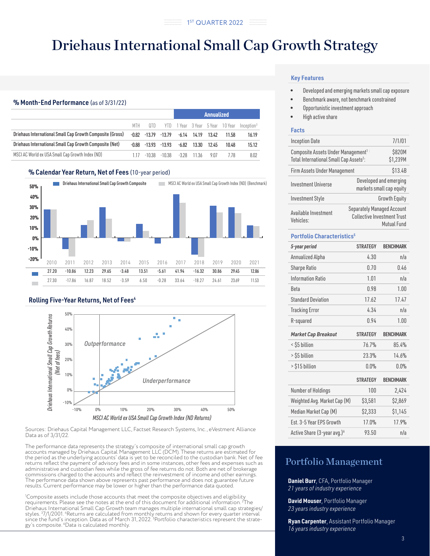#### % Month-End Performance (as of 3/31/22)

|                                                           |            |        |                   | Annualized |               |                      |         |                        |
|-----------------------------------------------------------|------------|--------|-------------------|------------|---------------|----------------------|---------|------------------------|
|                                                           | <b>MTH</b> | 0TD.   | YTD               |            |               | 1 Year 3 Year 5 Year | 10 Year | Inception <sup>3</sup> |
| Driehaus International Small Cap Growth Composite (Gross) | -0.82      |        | $-13.79$ $-13.79$ |            | $-6.14$ 14.19 | 13.42                | 11.58   | 16.19                  |
| Driehaus International Small Cap Growth Composite (Net)   | -0.88      |        | $-13.93 -13.93$   | -6.82      | 13.30         | 12.45                | 10.48   | 15.12                  |
| MSCI AC World ex USA Small Cap Growth Index (ND)          | 117        | -10.38 | -10.38            | -3.28      | -11.36        | 9 0 7                | 778     | 8.02                   |

#### % Calendar Year Return, Net of Fees (10-year period)



#### Rolling Five-Year Returns, Net of Fees<sup>4</sup>



Sources: Driehaus Capital Management LLC, Factset Research Systems, Inc., eVestment Alliance Data as of 3/31/22.

The performance data represents the strategy's composite of international small cap growth accounts managed by Driehaus Capital Management LLC (DCM). These returns are estimated for the period as the underlying accounts' data is yet to be reconciled to the custodian bank. Net of fee returns reflect the payment of advisory fees and in some instances, other fees and expenses such as administrative and custodian fees while the gross of fee returns do not. Both are net of brokerage commissions charged to the accounts and reflect the reinvestment of income and other earnings. The performance data shown above represents past performance and does not guarantee future results. Current performance may be lower or higher than the performance data quoted.

1 Composite assets include those accounts that meet the composite objectives and eligibility requirements. Please see the notes at the end of this document for additional information. 2 The Driehaus International Small Cap Growth team manages multiple international small cap strategies/ styles. <sup>3</sup>7/1/2001. "Returns are calculated from monthly returns and shown for every quarter interval<br>since the fund's inception. Data as of March 31, 2022. <sup>s</sup>Portfolio characteristics represent the strategy's composite. 6 Data is calculated monthly.

#### **Key Features**

- Developed and emerging markets small cap exposure
- Benchmark aware, not benchmark constrained
- Opportunistic investment approach
- High active share

#### **Facts**

| <b>Inception Date</b>                                                                                  | 7/1/01                                                                                 |                                                    |  |  |
|--------------------------------------------------------------------------------------------------------|----------------------------------------------------------------------------------------|----------------------------------------------------|--|--|
| Composite Assets Under Management <sup>1:</sup><br>Total International Small Cap Assets <sup>2</sup> : | \$820M<br>\$1,239M                                                                     |                                                    |  |  |
| Firm Assets Under Management                                                                           |                                                                                        | \$13.4B                                            |  |  |
| <b>Investment Universe</b>                                                                             |                                                                                        | Developed and emerging<br>markets small cap equity |  |  |
| <b>Investment Style</b>                                                                                | <b>Growth Equity</b>                                                                   |                                                    |  |  |
| Available Investment<br>Vehicles:                                                                      | <b>Separately Managed Account</b><br><b>Collective Investment Trust</b><br>Mutual Fund |                                                    |  |  |

#### **Portfolio Characteristics5**

| 5-year period                           | <b>STRATEGY</b> | <b>BENCHMARK</b> |
|-----------------------------------------|-----------------|------------------|
| Annualized Alpha                        | 4.30            | n/a              |
| <b>Sharpe Ratio</b>                     | 0.70            | 0.46             |
| Information Ratio                       | 1.01            | n/a              |
| Beta                                    | 0.98            | 1.00             |
| <b>Standard Deviation</b>               | 17.62           | 17.47            |
| <b>Tracking Error</b>                   | 4.34            | n/a              |
| R-squared                               | 0.94            | 1.00             |
| <b>Market Cap Breakout</b>              | <b>STRATEGY</b> | <b>BENCHMARK</b> |
| < \$5 billion                           | 76.7%           | 85.4%            |
| > \$5 billion                           | 23.3%           | 14.6%            |
| > \$15 billion                          | 0.0%            | 0.0%             |
|                                         | <b>STRATEGY</b> | <b>BENCHMARK</b> |
| Number of Holdings                      | 100             | 2,424            |
| Weighted Avg. Market Cap (M)            | \$3,581         | \$2,869          |
| Median Market Cap (M)                   | \$2,333         | \$1,145          |
| Est. 3-5 Year FPS Growth                | 17.0%           | 17.9%            |
| Active Share (3-year avg.) <sup>6</sup> | 93.50           | n/a              |

# Portfolio Management

**Daniel Burr**, CFA, Portfolio Manager *21 years of industry experience*

**David Mouser**, Portfolio Manager *23 years industry experience*

**Ryan Carpenter**, Assistant Portfolio Manager *16 years industry experience*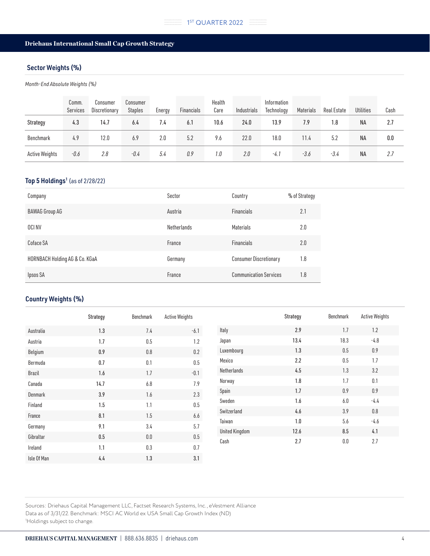# Sector Weights (%)

*Month-End Absolute Weights (%)*

|                       | Comm.<br>Services | Consumer<br>Discretionary | Consumer<br><b>Staples</b> | Energy | Financials | Health<br>Care | Industrials | Information<br>Technology | Materials | Real Estate | <b>Utilities</b> | Cash |
|-----------------------|-------------------|---------------------------|----------------------------|--------|------------|----------------|-------------|---------------------------|-----------|-------------|------------------|------|
| Strategy              | 4.3               | 14.7                      | 6.4                        | 7.4    | 6.1        | 10.6           | 24.0        | 13.9                      | 7.9       | 1.8         | <b>NA</b>        | 2.7  |
| Benchmark             | 4.9               | 12.0                      | 6.9                        | 2.0    | 5.2        | 9.6            | 22.0        | 18.0                      | 11.4      | 5.2         | <b>NA</b>        | 0.0  |
| <b>Active Weights</b> | -0.6              | 2.8                       | -0.4                       | 5.4    | 0.9        | 1.0            | 2.0         | $-4.1$                    | -3.6      | -3.4        | <b>NA</b>        | 2.7  |

# Top 5 Holdings<sup>1</sup> (as of 2/28/22)

| Company                        | Sector      | Country                       | % of Strategy |
|--------------------------------|-------------|-------------------------------|---------------|
| <b>BAWAG Group AG</b>          | Austria     | Financials                    | 2.1           |
| OCI NV                         | Netherlands | Materials                     | 2.0           |
| Coface SA                      | France      | Financials                    | 2.0           |
| HORNBACH Holding AG & Co. KGaA | Germany     | <b>Consumer Discretionary</b> | 1.8           |
| Ipsos SA                       | France      | <b>Communication Services</b> | 1.8           |

# Country Weights (%)

|             | Strategy | Benchmark | <b>Active Weights</b> |                       | Strategy | Benchmark | <b>Active Weights</b> |
|-------------|----------|-----------|-----------------------|-----------------------|----------|-----------|-----------------------|
| Australia   | 1.3      | 7.4       | $-6.1$                | Italy                 | 2.9      | 1.7       | 1.2                   |
| Austria     | 1.7      | 0.5       | 1.2                   | Japan                 | 13.4     | 18.3      | $-4.8$                |
| Belgium     | 0.9      | 0.8       | 0.2                   | Luxembourg            | 1.3      | 0.5       | 0.9                   |
| Bermuda     | 0.7      | 0.1       | 0.5                   | Mexico                | 2.2      | 0.5       | 1.7                   |
| Brazil      | 1.6      | 1.7       | $-0.1$                | Netherlands           | 4.5      | 1.3       | 3.2                   |
| Canada      | 14.7     | 6.8       | 7.9                   | Norway                | 1.8      | 1.7       | 0.1                   |
| Denmark     | 3.9      | 1.6       | 2.3                   | Spain                 | 1.7      | 0.9       | 0.9                   |
| Finland     | 1.5      | 1.1       | $0.5\,$               | Sweden                | 1.6      | $6.0\,$   | $-4.4$                |
| France      | 8.1      | 1.5       | $6.6\,$               | Switzerland           | 4.6      | 3.9       | 0.8                   |
| Germany     | 9.1      | 3.4       | 5.7                   | Taiwan                | 1.0      | 5.6       | $-4.6$                |
| Gibraltar   | 0.5      | 0.0       | 0.5                   | <b>United Kingdom</b> | 12.6     | 8.5       | 4.1                   |
|             |          |           |                       | Cash                  | 2.7      | 0.0       | 2.7                   |
| Ireland     | 1.1      | 0.3       | 0.7                   |                       |          |           |                       |
| Isle Of Man | 4.4      | 1.3       | 3.1                   |                       |          |           |                       |

Sources: Driehaus Capital Management LLC, Factset Research Systems, Inc., eVestment Alliance Data as of 3/31/22. Benchmark: MSCI AC World ex USA Small Cap Growth Index (ND) 1 Holdings subject to change.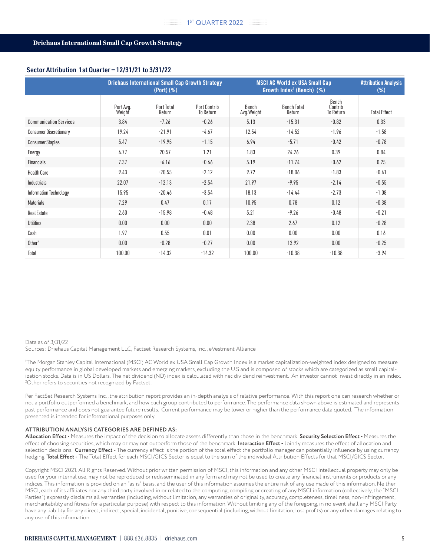# Sector Attribution 1st Quarter — 12/31/21 to 3/31/22

|                               | <b>Driehaus International Small Cap Growth Strategy</b><br>$(Port)$ $(\%)$ |                      |                           | <b>MSCI AC World ex USA Small Cap</b><br>Growth Index <sup>1</sup> (Bench) $(%)$ | <b>Attribution Analysis</b><br>$(\%)$ |                               |                     |
|-------------------------------|----------------------------------------------------------------------------|----------------------|---------------------------|----------------------------------------------------------------------------------|---------------------------------------|-------------------------------|---------------------|
|                               | Port Avg.<br>Weight                                                        | Port Total<br>Return | Port Contrib<br>To Return | Bench<br>Avg. Weight                                                             | <b>Bench Total</b><br>Return          | Bench<br>Contrib<br>To Return | <b>Total Effect</b> |
| <b>Communication Services</b> | 3.84                                                                       | $-7.26$              | $-0.26$                   | 5.13                                                                             | $-15.31$                              | $-0.82$                       | 0.33                |
| <b>Consumer Discretionary</b> | 19.24                                                                      | $-21.91$             | $-4.67$                   | 12.54                                                                            | $-14.52$                              | $-1.96$                       | $-1.58$             |
| <b>Consumer Staples</b>       | 5.47                                                                       | $-19.95$             | $-1.15$                   | 6.94                                                                             | $-5.71$                               | $-0.42$                       | $-0.78$             |
| Energy                        | 4.77                                                                       | 20.57                | 1.21                      | 1.83                                                                             | 24.26                                 | 0.39                          | 0.84                |
| Financials                    | 7.37                                                                       | $-6.16$              | $-0.66$                   | 5.19                                                                             | $-11.74$                              | $-0.62$                       | 0.25                |
| <b>Health Care</b>            | 9.43                                                                       | $-20.55$             | $-2.12$                   | 9.72                                                                             | $-18.06$                              | $-1.83$                       | $-0.41$             |
| Industrials                   | 22.07                                                                      | $-12.13$             | $-2.54$                   | 21.97                                                                            | $-9.95$                               | $-2.14$                       | $-0.55$             |
| Information Technology        | 15.95                                                                      | $-20.46$             | $-3.54$                   | 18.13                                                                            | $-14.44$                              | $-2.73$                       | $-1.08$             |
| <b>Materials</b>              | 7.29                                                                       | 0.47                 | 0.17                      | 10.95                                                                            | 0.78                                  | 0.12                          | $-0.38$             |
| <b>Real Estate</b>            | 2.60                                                                       | $-15.98$             | $-0.48$                   | 5.21                                                                             | $-9.26$                               | $-0.48$                       | $-0.21$             |
| <b>Utilities</b>              | 0.00                                                                       | 0.00                 | 0.00                      | 2.38                                                                             | 2.67                                  | 0.12                          | $-0.28$             |
| Cash                          | 1.97                                                                       | 0.55                 | 0.01                      | 0.00                                                                             | 0.00                                  | 0.00                          | 0.16                |
| Other <sup>2</sup>            | 0.00                                                                       | $-0.28$              | $-0.27$                   | 0.00                                                                             | 13.92                                 | 0.00                          | $-0.25$             |
| Total                         | 100.00                                                                     | $-14.32$             | $-14.32$                  | 100.00                                                                           | $-10.38$                              | $-10.38$                      | $-3.94$             |

#### Data as of 3/31/22

Sources: Driehaus Capital Management LLC, Factset Research Systems, Inc., eVestment Alliance

1 The Morgan Stanley Capital International (MSCI) AC World ex USA Small Cap Growth Index is a market capitalization-weighted index designed to measure equity performance in global developed markets and emerging markets, excluding the U.S and is composed of stocks which are categorized as small capitalization stocks. Data is in US Dollars. The net dividend (ND) index is calculated with net dividend reinvestment. An investor cannot invest directly in an index. 2 Other refers to securities not recognized by Factset.

Per FactSet Research Systems Inc., the attribution report provides an in-depth analysis of relative performance. With this report one can research whether or not a portfolio outperformed a benchmark, and how each group contributed to performance. The performance data shown above is estimated and represents past performance and does not guarantee future results. Current performance may be lower or higher than the performance data quoted. The information presented is intended for informational purposes only.

#### **ATTRIBUTION ANALYSIS CATEGORIES ARE DEFINED AS:**

**Allocation Effect -** Measures the impact of the decision to allocate assets differently than those in the benchmark. **Security Selection Effect -** Measures the effect of choosing securities, which may or may not outperform those of the benchmark. **Interaction Effect -** Jointly measures the effect of allocation and selection decisions. **Currency Effect -** The currency effect is the portion of the total effect the portfolio manager can potentially influence by using currency hedging. **Total Effect -** The Total Effect for each MSCI/GICS Sector is equal to the sum of the individual Attribution Effects for that MSCI/GICS Sector.

Copyright MSCI 2021. All Rights Reserved. Without prior written permission of MSCI, this information and any other MSCI intellectual property may only be used for your internal use, may not be reproduced or redisseminated in any form and may not be used to create any financial instruments or products or any indices. This information is provided on an "as is" basis, and the user of this information assumes the entire risk of any use made of this information. Neither MSCI, each of its affiliates nor any third party involved in or related to the computing, compiling or creating of any MSCI information (collectively, the "MSCI Parties") expressly disclaims all warranties (including, without limitation, any warranties of originality, accuracy, completeness, timeliness, non-infringement, merchantability and fitness for a particular purpose) with respect to this information. Without limiting any of the foregoing, in no event shall any MSCI Party have any liability for any direct, indirect, special, incidental, punitive, consequential (including, without limitation, lost profits) or any other damages relating to any use of this information.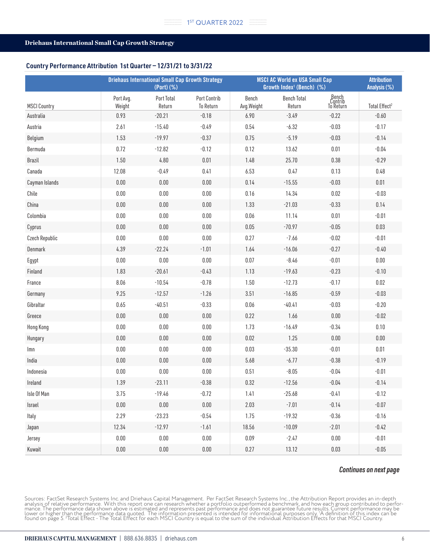#### Country Performance Attribution 1st Quarter — 12/31/21 to 3/31/22

|                     | <b>Driehaus International Small Cap Growth Strategy</b><br>(Port) (%) |                      |                                         | <b>MSCI AC World ex USA Small Cap</b><br>Growth Index <sup>1</sup> (Bench) (%) | <b>Attribution</b><br>Analysis (%) |                               |                           |
|---------------------|-----------------------------------------------------------------------|----------------------|-----------------------------------------|--------------------------------------------------------------------------------|------------------------------------|-------------------------------|---------------------------|
| <b>MSCI Country</b> | Port Avg.<br>Weight                                                   | Port Total<br>Return | <b>Port Contrib</b><br><b>To Return</b> | Bench<br>Avg.Weight                                                            | <b>Bench Total</b><br>Return       | Bench<br>Contrib<br>To Return | Total Effect <sup>2</sup> |
| Australia           | 0.93                                                                  | $-20.21$             | $-0.18$                                 | 6.90                                                                           | $-3.49$                            | $-0.22$                       | $-0.60$                   |
| Austria             | 2.61                                                                  | $-15.40$             | $-0.49$                                 | 0.54                                                                           | $-6.32$                            | $-0.03$                       | $-0.17$                   |
| Belgium             | 1.53                                                                  | $-19.97$             | $-0.37$                                 | 0.75                                                                           | $-5.19$                            | $-0.03$                       | $-0.14$                   |
| Bermuda             | 0.72                                                                  | $-12.82$             | $-0.12$                                 | 0.12                                                                           | 13.62                              | 0.01                          | $-0.04$                   |
| Brazil              | 1.50                                                                  | 4.80                 | 0.01                                    | 1.48                                                                           | 25.70                              | 0.38                          | $-0.29$                   |
| Canada              | 12.08                                                                 | $-0.49$              | 0.41                                    | 6.53                                                                           | 0.47                               | 0.13                          | 0.48                      |
| Cayman Islands      | $0.00\,$                                                              | $0.00\,$             | 0.00                                    | 0.14                                                                           | $-15.55$                           | $-0.03$                       | $0.01\,$                  |
| Chile               | $0.00\,$                                                              | $0.00\,$             | 0.00                                    | 0.16                                                                           | 14.34                              | $0.02\,$                      | $-0.03$                   |
| China               | $0.00\,$                                                              | 0.00                 | 0.00                                    | 1.33                                                                           | $-21.03$                           | $-0.33$                       | 0.14                      |
| Colombia            | $0.00\,$                                                              | $0.00\,$             | $0.00\,$                                | 0.06                                                                           | 11.14                              | 0.01                          | $-0.01$                   |
| Cyprus              | $0.00\,$                                                              | $0.00\,$             | 0.00                                    | 0.05                                                                           | $-70.97$                           | $-0.05$                       | 0.03                      |
| Czech Republic      | $0.00\,$                                                              | $0.00\,$             | $0.00\,$                                | 0.27                                                                           | $-7.66$                            | $-0.02$                       | $-0.01$                   |
| Denmark             | 4.39                                                                  | $-22.24$             | $-1.01$                                 | 1.64                                                                           | $-16.06$                           | $-0.27$                       | $-0.40$                   |
| Egypt               | $0.00\,$                                                              | $0.00\,$             | $0.00\,$                                | 0.07                                                                           | $-8.46$                            | $-0.01$                       | $0.00\,$                  |
| Finland             | 1.83                                                                  | $-20.61$             | $-0.43$                                 | 1.13                                                                           | $-19.63$                           | $-0.23$                       | $-0.10$                   |
| France              | 8.06                                                                  | $-10.54$             | $-0.78$                                 | 1.50                                                                           | $-12.73$                           | $-0.17$                       | $0.02\,$                  |
| Germany             | 9.25                                                                  | $-12.57$             | $-1.26$                                 | 3.51                                                                           | $-16.85$                           | $-0.59$                       | $-0.03$                   |
| Gibraltar           | 0.65                                                                  | $-40.51$             | $-0.33$                                 | 0.06                                                                           | $-40.41$                           | $-0.03$                       | $-0.20$                   |
| Greece              | $0.00\,$                                                              | $0.00\,$             | 0.00                                    | 0.22                                                                           | 1.66                               | 0.00                          | $-0.02$                   |
| Hong Kong           | $0.00\,$                                                              | $0.00\,$             | 0.00                                    | 1.73                                                                           | $-16.49$                           | $-0.34$                       | 0.10                      |
| Hungary             | $0.00\,$                                                              | $0.00\,$             | 0.00                                    | 0.02                                                                           | 1.25                               | 0.00                          | $0.00\,$                  |
| lmn                 | $0.00\,$                                                              | 0.00                 | 0.00                                    | 0.03                                                                           | $-35.30$                           | $-0.01$                       | $0.01\,$                  |
| India               | $0.00\,$                                                              | $0.00\,$             | $0.00\,$                                | 5.68                                                                           | $-6.77$                            | $-0.38$                       | $-0.19$                   |
| Indonesia           | $0.00\,$                                                              | $0.00\,$             | 0.00                                    | 0.51                                                                           | $-8.05$                            | $-0.04$                       | $-0.01$                   |
| Ireland             | 1.39                                                                  | $-23.11$             | $-0.38$                                 | 0.32                                                                           | $-12.56$                           | $-0.04$                       | $-0.14$                   |
| Isle Of Man         | 3.75                                                                  | $-19.46$             | $-0.72$                                 | 1.41                                                                           | $-25.68$                           | $-0.41$                       | $-0.12$                   |
| Israel              | $0.00\,$                                                              | $0.00\,$             | $0.00\,$                                | 2.03                                                                           | $-7.01$                            | $-0.14$                       | $-0.07$                   |
| Italy               | 2.29                                                                  | $-23.23$             | $-0.54$                                 | 1.75                                                                           | $-19.32$                           | $-0.36$                       | $-0.16$                   |
| Japan               | 12.34                                                                 | $-12.97$             | $-1.61$                                 | 18.56                                                                          | $-10.09$                           | $-2.01$                       | $-0.42$                   |
| Jersey              | $0.00\,$                                                              | $0.00\,$             | $0.00\,$                                | 0.09                                                                           | $-2.47$                            | $0.00\,$                      | $-0.01$                   |
| Kuwait              | $0.00\,$                                                              | $0.00\,$             | $0.00\,$                                | 0.27                                                                           | 13.12                              | $0.03\,$                      | $-0.05$                   |

#### *Continues on next page*

Sources: FactSet Research Systems Inc. and Driehaus Capital Management. Per FactSet Research Systems Inc., the Attribution Report provides an in-depth<br>analysis of relative performance. With this report one can research whe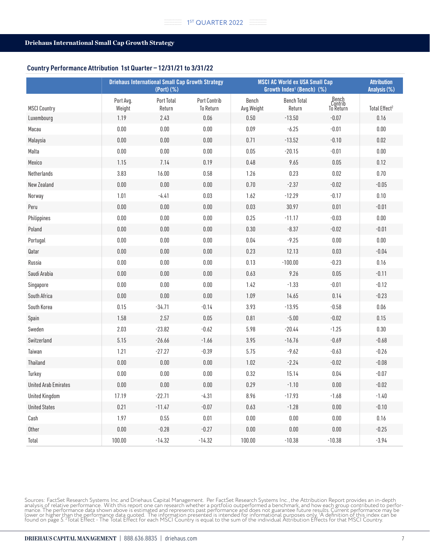#### Country Performance Attribution 1st Quarter — 12/31/21 to 3/31/22

|                             | <b>Driehaus International Small Cap Growth Strategy</b><br>(Port) (%) |                      |                                  | <b>MSCI AC World ex USA Small Cap</b><br>Growth Index <sup>1</sup> (Bench) (%) | <b>Attribution</b><br>Analysis (%) |                               |                           |
|-----------------------------|-----------------------------------------------------------------------|----------------------|----------------------------------|--------------------------------------------------------------------------------|------------------------------------|-------------------------------|---------------------------|
| <b>MSCI Country</b>         | Port Avg.<br>Weight                                                   | Port Total<br>Return | <b>Port Contrib</b><br>To Return | Bench<br>Avg.Weight                                                            | <b>Bench Total</b><br>Return       | Bench<br>Contrib<br>To Return | Total Effect <sup>2</sup> |
| Luxembourg                  | 1.19                                                                  | 2.43                 | 0.06                             | 0.50                                                                           | $-13.50$                           | $-0.07$                       | 0.16                      |
| Macau                       | 0.00                                                                  | $0.00\,$             | $0.00\,$                         | 0.09                                                                           | $-6.25$                            | $-0.01$                       | $0.00\,$                  |
| Malaysia                    | 0.00                                                                  | $0.00\,$             | $0.00\,$                         | 0.71                                                                           | $-13.52$                           | $-0.10$                       | 0.02                      |
| Malta                       | 0.00                                                                  | $0.00\,$             | $0.00\,$                         | 0.05                                                                           | $-20.15$                           | $-0.01$                       | $0.00\,$                  |
| Mexico                      | 1.15                                                                  | 7.14                 | 0.19                             | 0.48                                                                           | 9.65                               | 0.05                          | 0.12                      |
| Netherlands                 | 3.83                                                                  | 16.00                | 0.58                             | 1.26                                                                           | 0.23                               | 0.02                          | 0.70                      |
| New Zealand                 | $0.00\,$                                                              | $0.00\,$             | $0.00\,$                         | 0.70                                                                           | $-2.37$                            | $-0.02$                       | $-0.05$                   |
| Norway                      | 1.01                                                                  | $-4.41$              | $0.03\,$                         | 1.62                                                                           | $-12.29$                           | $-0.17$                       | $0.10\,$                  |
| Peru                        | 0.00                                                                  | $0.00\,$             | $0.00\,$                         | 0.03                                                                           | 30.97                              | 0.01                          | $-0.01$                   |
| Philippines                 | $0.00\,$                                                              | $0.00\,$             | $0.00\,$                         | 0.25                                                                           | $-11.17$                           | $-0.03$                       | $0.00\,$                  |
| Poland                      | 0.00                                                                  | $0.00\,$             | $0.00\,$                         | 0.30                                                                           | $-8.37$                            | $-0.02$                       | $-0.01$                   |
| Portugal                    | $0.00\,$                                                              | $0.00\,$             | $0.00\,$                         | 0.04                                                                           | $-9.25$                            | 0.00                          | $0.00\,$                  |
| Qatar                       | $0.00\,$                                                              | $0.00\,$             | $0.00\,$                         | 0.23                                                                           | 12.13                              | 0.03                          | $-0.04$                   |
| Russia                      | $0.00\,$                                                              | $0.00\,$             | $0.00\,$                         | 0.13                                                                           | $-100.00$                          | $-0.23$                       | 0.16                      |
| Saudi Arabia                | 0.00                                                                  | 0.00                 | $0.00\,$                         | 0.63                                                                           | 9.26                               | 0.05                          | $-0.11$                   |
| Singapore                   | $0.00\,$                                                              | $0.00\,$             | $0.00\,$                         | 1.42                                                                           | $-1.33$                            | $-0.01$                       | $-0.12$                   |
| South Africa                | $0.00\,$                                                              | $0.00\,$             | $0.00\,$                         | 1.09                                                                           | 14.65                              | 0.14                          | $-0.23$                   |
| South Korea                 | 0.15                                                                  | $-34.71$             | $-0.14$                          | 3.93                                                                           | $-13.95$                           | $-0.58$                       | 0.06                      |
| Spain                       | 1.58                                                                  | 2.57                 | $0.05\,$                         | 0.81                                                                           | $-5.00$                            | $-0.02$                       | 0.15                      |
| Sweden                      | 2.03                                                                  | $-23.82$             | $-0.62$                          | 5.98                                                                           | $-20.44$                           | $-1.25$                       | 0.30                      |
| Switzerland                 | 5.15                                                                  | $-26.66$             | $-1.66$                          | 3.95                                                                           | $-16.76$                           | $-0.69$                       | $-0.68$                   |
| Taiwan                      | 1.21                                                                  | $-27.27$             | $-0.39$                          | 5.75                                                                           | $-9.62$                            | $-0.63$                       | $-0.26$                   |
| Thailand                    | $0.00\,$                                                              | $0.00\,$             | $0.00\,$                         | 1.02                                                                           | $-2.24$                            | $-0.02$                       | $-0.08$                   |
| Turkey                      | $0.00\,$                                                              | $0.00\,$             | $0.00\,$                         | 0.32                                                                           | 15.14                              | 0.04                          | $-0.07$                   |
| <b>United Arab Emirates</b> | 0.00                                                                  | 0.00                 | $0.00\,$                         | 0.29                                                                           | $-1.10$                            | 0.00                          | $-0.02$                   |
| <b>United Kingdom</b>       | 17.19                                                                 | $-22.71$             | $-4.31$                          | 8.96                                                                           | $-17.93$                           | $-1.68$                       | $-1.40$                   |
| <b>United States</b>        | 0.21                                                                  | $-11.47$             | $-0.07$                          | 0.63                                                                           | $-1.28$                            | $0.00\,$                      | $-0.10$                   |
| Cash                        | 1.97                                                                  | $0.55\,$             | $0.01\,$                         | $0.00\,$                                                                       | 0.00                               | $0.00\,$                      | 0.16                      |
| Other                       | $0.00\,$                                                              | $-0.28$              | $-0.27$                          | $0.00\,$                                                                       | $0.00\,$                           | $0.00\,$                      | $-0.25$                   |
| Total                       | 100.00                                                                | $-14.32$             | $-14.32$                         | 100.00                                                                         | $-10.38$                           | $-10.38$                      | $-3.94$                   |

Sources: FactSet Research Systems Inc. and Driehaus Capital Management. Per FactSet Research Systems Inc., the Attribution Report provides an in-depth<br>analysis of relative performance. With this report one can research whe